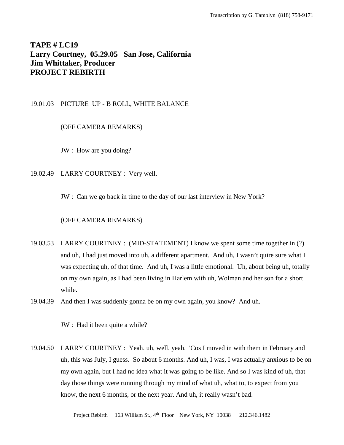# **TAPE # LC19 Larry Courtney, 05.29.05 San Jose, California Jim Whittaker, Producer PROJECT REBIRTH**

# 19.01.03 PICTURE UP - B ROLL, WHITE BALANCE

# (OFF CAMERA REMARKS)

JW : How are you doing?

19.02.49 LARRY COURTNEY : Very well.

JW : Can we go back in time to the day of our last interview in New York?

## (OFF CAMERA REMARKS)

- 19.03.53 LARRY COURTNEY : (MID-STATEMENT) I know we spent some time together in (?) and uh, I had just moved into uh, a different apartment. And uh, I wasn't quire sure what I was expecting uh, of that time. And uh, I was a little emotional. Uh, about being uh, totally on my own again, as I had been living in Harlem with uh, Wolman and her son for a short while.
- 19.04.39 And then I was suddenly gonna be on my own again, you know? And uh.

JW : Had it been quite a while?

19.04.50 LARRY COURTNEY : Yeah. uh, well, yeah. 'Cos I moved in with them in February and uh, this was July, I guess. So about 6 months. And uh, I was, I was actually anxious to be on my own again, but I had no idea what it was going to be like. And so I was kind of uh, that day those things were running through my mind of what uh, what to, to expect from you know, the next 6 months, or the next year. And uh, it really wasn't bad.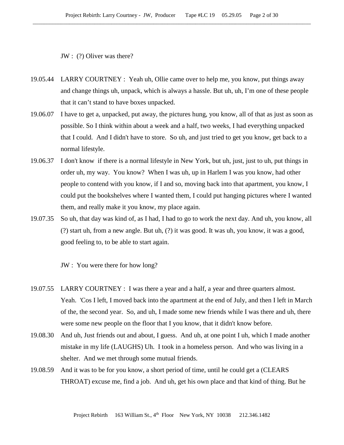JW : (?) Oliver was there?

- 19.05.44 LARRY COURTNEY : Yeah uh, Ollie came over to help me, you know, put things away and change things uh, unpack, which is always a hassle. But uh, uh, I'm one of these people that it can't stand to have boxes unpacked.
- 19.06.07 I have to get a, unpacked, put away, the pictures hung, you know, all of that as just as soon as possible. So I think within about a week and a half, two weeks, I had everything unpacked that I could. And I didn't have to store. So uh, and just tried to get you know, get back to a normal lifestyle.
- 19.06.37 I don't know if there is a normal lifestyle in New York, but uh, just, just to uh, put things in order uh, my way. You know? When I was uh, up in Harlem I was you know, had other people to contend with you know, if I and so, moving back into that apartment, you know, I could put the bookshelves where I wanted them, I could put hanging pictures where I wanted them, and really make it you know, my place again.
- 19.07.35 So uh, that day was kind of, as I had, I had to go to work the next day. And uh, you know, all (?) start uh, from a new angle. But uh, (?) it was good. It was uh, you know, it was a good, good feeling to, to be able to start again.

JW : You were there for how long?

- 19.07.55 LARRY COURTNEY : I was there a year and a half, a year and three quarters almost. Yeah. 'Cos I left, I moved back into the apartment at the end of July, and then I left in March of the, the second year. So, and uh, I made some new friends while I was there and uh, there were some new people on the floor that I you know, that it didn't know before.
- 19.08.30 And uh, Just friends out and about, I guess. And uh, at one point I uh, which I made another mistake in my life (LAUGHS) Uh. I took in a homeless person. And who was living in a shelter. And we met through some mutual friends.
- 19.08.59 And it was to be for you know, a short period of time, until he could get a (CLEARS THROAT) excuse me, find a job. And uh, get his own place and that kind of thing. But he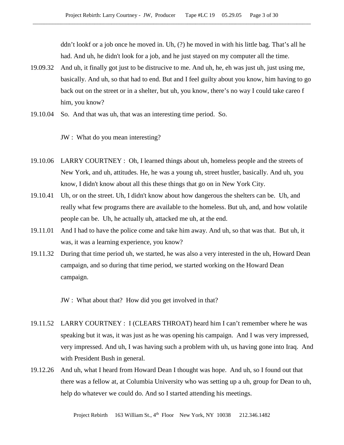ddn't lookf or a job once he moved in. Uh, (?) he moved in with his little bag. That's all he had. And uh, he didn't look for a job, and he just stayed on my computer all the time.

- 19.09.32 And uh, it finally got just to be distrucive to me. And uh, he, eh was just uh, just using me, basically. And uh, so that had to end. But and I feel guilty about you know, him having to go back out on the street or in a shelter, but uh, you know, there's no way I could take careo f him, you know?
- 19.10.04 So. And that was uh, that was an interesting time period. So.

JW : What do you mean interesting?

- 19.10.06 LARRY COURTNEY : Oh, I learned things about uh, homeless people and the streets of New York, and uh, attitudes. He, he was a young uh, street hustler, basically. And uh, you know, I didn't know about all this these things that go on in New York City.
- 19.10.41 Uh, or on the street. Uh, I didn't know about how dangerous the shelters can be. Uh, and really what few programs there are available to the homeless. But uh, and, and how volatile people can be. Uh, he actually uh, attacked me uh, at the end.
- 19.11.01 And I had to have the police come and take him away. And uh, so that was that. But uh, it was, it was a learning experience, you know?
- 19.11.32 During that time period uh, we started, he was also a very interested in the uh, Howard Dean campaign, and so during that time period, we started working on the Howard Dean campaign.

JW : What about that? How did you get involved in that?

- 19.11.52 LARRY COURTNEY : I (CLEARS THROAT) heard him I can't remember where he was speaking but it was, it was just as he was opening his campaign. And I was very impressed, very impressed. And uh, I was having such a problem with uh, us having gone into Iraq. And with President Bush in general.
- 19.12.26 And uh, what I heard from Howard Dean I thought was hope. And uh, so I found out that there was a fellow at, at Columbia University who was setting up a uh, group for Dean to uh, help do whatever we could do. And so I started attending his meetings.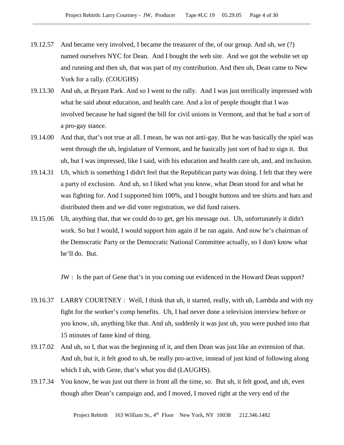- 19.12.57 And became very involved, I became the treasurer of the, of our group. And uh, we (?) named ourselves NYC for Dean. And I bought the web site. And we got the website set up and running and then uh, that was part of my contribution. And then uh, Dean came to New York for a rally. (COUGHS)
- 19.13.30 And uh, at Bryant Park. And so I went to the rally. And I was just terrifically impressed with what he said about education, and health care. And a lot of people thought that I was involved because he had signed the bill for civil unions in Vermont, and that he had a sort of a pro-gay stance.
- 19.14.00 And that, that's not true at all. I mean, he was not anti-gay. But he was basically the spiel was went through the uh, legislature of Vermont, and he basically just sort of had to sign it. But uh, but I was impressed, like I said, with his education and health care uh, and, and inclusion.
- 19.14.31 Uh, which is something I didn't feel that the Republican party was doing. I felt that they were a party of exclusion. And uh, so I liked what you know, what Dean stood for and what he was fighting for. And I supported him 100%, and I bought buttons and tee shirts and hats and distributed them and we did voter registration, we did fund raisers.
- 19.15.06 Uh, anything that, that we could do to get, get his message out. Uh, unfortunately it didn't work. So but I would, I would support him again if he ran again. And now he's chairman of the Democratic Party or the Democratic National Committee actually, so I don't know what he'll do. But.

JW : Is the part of Gene that's in you coming out evidenced in the Howard Dean support?

- 19.16.37 LARRY COURTNEY : Well, I think that uh, it started, really, with uh, Lambda and with my fight for the worker's comp benefits. Uh, I had never done a television interview before or you know, uh, anything like that. And uh, suddenly it was just uh, you were pushed into that 15 minutes of fame kind of thing.
- 19.17.02 And uh, so I, that was the beginning of it, and then Dean was just like an extension of that. And uh, but it, it felt good to uh, be really pro-active, instead of just kind of following along which I uh, with Gene, that's what you did (LAUGHS).
- 19.17.34 You know, he was just out there in front all the time, so. But uh, it felt good, and uh, even though after Dean's campaign and, and I moved, I moved right at the very end of the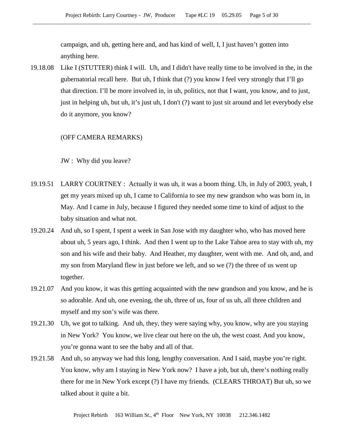campaign, and uh, getting here and, and has kind of well, I, I just haven't gotten into anything here.

19.18.08 Like I (STUTTER) think I will. Uh, and I didn't have really time to be involved in the, in the gubernatorial recall here. But uh, I think that (?) you know I feel very strongly that I'll go that direction. I'll be more involved in, in uh, politics, not that I want, you know, and to just, just in helping uh, but uh, it's just uh, I don't (?) want to just sit around and let everybody else do it anymore, you know?

### (OFF CAMERA REMARKS)

JW : Why did you leave?

- 19.19.51 LARRY COURTNEY : Actually it was uh, it was a boom thing. Uh, in July of 2003, yeah, I get my years mixed up uh, I came to California to see my new grandson who was born in, in May. And I came in July, because I figured they needed some time to kind of adjust to the baby situation and what not.
- 19.20.24 And uh, so I spent, I spent a week in San Jose with my daughter who, who has moved here about uh, 5 years ago, I think. And then I went up to the Lake Tahoe area to stay with uh, my son and his wife and their baby. And Heather, my daughter, went with me. And oh, and, and my son from Maryland flew in just before we left, and so we (?) the three of us went up together.
- 19.21.07 And you know, it was this getting acquainted with the new grandson and you know, and he is so adorable. And uh, one evening, the uh, three of us, four of us uh, all three children and myself and my son's wife was there.
- 19.21.30 Uh, we got to talking. And uh, they, they were saying why, you know, why are you staying in New York? You know, we live clear out here on the uh, the west coast. And you know, you're gonna want to see the baby and all of that.
- 19.21.58 And uh, so anyway we had this long, lengthy conversation. And I said, maybe you're right. You know, why am I staying in New York now? I have a job, but uh, there's nothing really there for me in New York except (?) I have my friends. (CLEARS THROAT) But uh, so we talked about it quite a bit.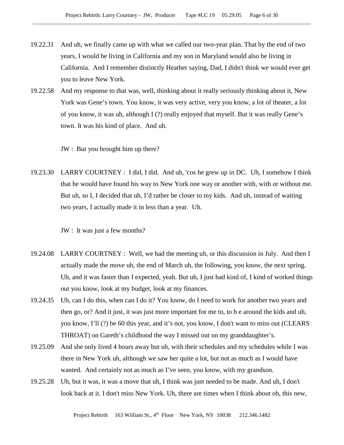- 19.22.31 And uh, we finally came up with what we called our two-year plan. That by the end of two years, I would be living in California and my son in Maryland would also be living in California. And I remember distinctly Heather saying, Dad, I didn't think we would ever get you to leave New York.
- 19.22.58 And my response to that was, well, thinking about it really seriously thinking about it, New York was Gene's town. You know, it was very active, very you know, a lot of theater, a lot of you know, it was uh, although I (?) really enjoyed that myself. But it was really Gene's town. It was his kind of place. And uh.

JW : But you brought him up there?

19.23.30 LARRY COURTNEY : I did, I did. And uh, 'cos he grew up in DC. Uh, I somehow I think that he would have found his way to New York one way or another with, with or without me. But uh, so I, I decided that uh, I'd rather be closer to my kids. And uh, instead of waiting two years, I actually made it in less than a year. Uh.

JW : It was just a few months?

- 19.24.08 LARRY COURTNEY : Well, we had the meeting uh, or this discussion in July. And then I actually made the move uh, the end of March uh, the following, you know, the next spring. Uh, and it was faster than I expected, yeah. But uh, I just had kind of, I kind of worked things out you know, look at my budget, look at my finances.
- 19.24.35 Uh, can I do this, when can I do it? You know, do I need to work for another two years and then go, or? And it just, it was just more important for me to, to b e around the kids and uh, you know, I'll (?) be 60 this year, and it's not, you know, I don't want to miss out (CLEARS THROAT) on Gareth's childhood the way I missed out on my granddaughter's.
- 19.25.09 And she only lived 4 hours away but uh, with their schedules and my schedules while I was there in New York uh, although we saw her quite a lot, but not as much as I would have wanted. And certainly not as much as I've seen, you know, with my grandson.
- 19.25.28 Uh, but it was, it was a move that uh, I think was just needed to be made. And uh, I don't look back at it. I don't miss New York. Uh, there are times when I think about oh, this new,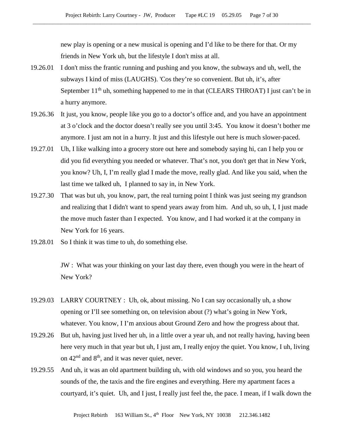new play is opening or a new musical is opening and I'd like to be there for that. Or my friends in New York uh, but the lifestyle I don't miss at all.

- 19.26.01 I don't miss the frantic running and pushing and you know, the subways and uh, well, the subways I kind of miss (LAUGHS). 'Cos they're so convenient. But uh, it's, after September 11<sup>th</sup> uh, something happened to me in that (CLEARS THROAT) I just can't be in a hurry anymore.
- 19.26.36 It just, you know, people like you go to a doctor's office and, and you have an appointment at 3 o'clock and the doctor doesn't really see you until 3:45. You know it doesn't bother me anymore. I just am not in a hurry. It just and this lifestyle out here is much slower-paced.
- 19.27.01 Uh, I like walking into a grocery store out here and somebody saying hi, can I help you or did you fid everything you needed or whatever. That's not, you don't get that in New York, you know? Uh, I, I'm really glad I made the move, really glad. And like you said, when the last time we talked uh, I planned to say in, in New York.
- 19.27.30 That was but uh, you know, part, the real turning point I think was just seeing my grandson and realizing that I didn't want to spend years away from him. And uh, so uh, I, I just made the move much faster than I expected. You know, and I had worked it at the company in New York for 16 years.
- 19.28.01 So I think it was time to uh, do something else.

JW : What was your thinking on your last day there, even though you were in the heart of New York?

- 19.29.03 LARRY COURTNEY : Uh, ok, about missing. No I can say occasionally uh, a show opening or I'll see something on, on television about (?) what's going in New York, whatever. You know, I I'm anxious about Ground Zero and how the progress about that.
- 19.29.26 But uh, having just lived her uh, in a little over a year uh, and not really having, having been here very much in that year but uh, I just am, I really enjoy the quiet. You know, I uh, living on  $42<sup>nd</sup>$  and  $8<sup>th</sup>$ , and it was never quiet, never.
- 19.29.55 And uh, it was an old apartment building uh, with old windows and so you, you heard the sounds of the, the taxis and the fire engines and everything. Here my apartment faces a courtyard, it's quiet. Uh, and I just, I really just feel the, the pace. I mean, if I walk down the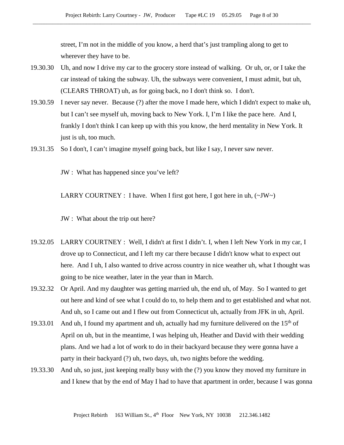street, I'm not in the middle of you know, a herd that's just trampling along to get to wherever they have to be.

- 19.30.30 Uh, and now I drive my car to the grocery store instead of walking. Or uh, or, or I take the car instead of taking the subway. Uh, the subways were convenient, I must admit, but uh, (CLEARS THROAT) uh, as for going back, no I don't think so. I don't.
- 19.30.59 I never say never. Because (?) after the move I made here, which I didn't expect to make uh, but I can't see myself uh, moving back to New York. I, I'm I like the pace here. And I, frankly I don't think I can keep up with this you know, the herd mentality in New York. It just is uh, too much.
- 19.31.35 So I don't, I can't imagine myself going back, but like I say, I never saw never.

JW : What has happened since you've left?

LARRY COURTNEY : I have. When I first got here, I got here in uh,  $(\sim JW)$ 

- JW : What about the trip out here?
- 19.32.05 LARRY COURTNEY : Well, I didn't at first I didn't. I, when I left New York in my car, I drove up to Connecticut, and I left my car there because I didn't know what to expect out here. And I uh, I also wanted to drive across country in nice weather uh, what I thought was going to be nice weather, later in the year than in March.
- 19.32.32 Or April. And my daughter was getting married uh, the end uh, of May. So I wanted to get out here and kind of see what I could do to, to help them and to get established and what not. And uh, so I came out and I flew out from Connecticut uh, actually from JFK in uh, April.
- 19.33.01 And uh, I found my apartment and uh, actually had my furniture delivered on the  $15<sup>th</sup>$  of April on uh, but in the meantime, I was helping uh, Heather and David with their wedding plans. And we had a lot of work to do in their backyard because they were gonna have a party in their backyard (?) uh, two days, uh, two nights before the wedding.
- 19.33.30 And uh, so just, just keeping really busy with the (?) you know they moved my furniture in and I knew that by the end of May I had to have that apartment in order, because I was gonna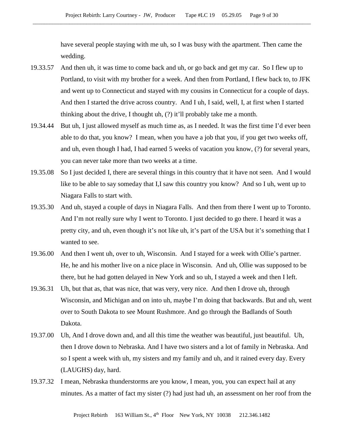have several people staying with me uh, so I was busy with the apartment. Then came the wedding.

- 19.33.57 And then uh, it was time to come back and uh, or go back and get my car. So I flew up to Portland, to visit with my brother for a week. And then from Portland, I flew back to, to JFK and went up to Connecticut and stayed with my cousins in Connecticut for a couple of days. And then I started the drive across country. And I uh, I said, well, I, at first when I started thinking about the drive, I thought uh, (?) it'll probably take me a month.
- 19.34.44 But uh, I just allowed myself as much time as, as I needed. It was the first time I'd ever been able to do that, you know? I mean, when you have a job that you, if you get two weeks off, and uh, even though I had, I had earned 5 weeks of vacation you know, (?) for several years, you can never take more than two weeks at a time.
- 19.35.08 So I just decided I, there are several things in this country that it have not seen. And I would like to be able to say someday that I,I saw this country you know? And so I uh, went up to Niagara Falls to start with.
- 19.35.30 And uh, stayed a couple of days in Niagara Falls. And then from there I went up to Toronto. And I'm not really sure why I went to Toronto. I just decided to go there. I heard it was a pretty city, and uh, even though it's not like uh, it's part of the USA but it's something that I wanted to see.
- 19.36.00 And then I went uh, over to uh, Wisconsin. And I stayed for a week with Ollie's partner. He, he and his mother live on a nice place in Wisconsin. And uh, Ollie was supposed to be there, but he had gotten delayed in New York and so uh, I stayed a week and then I left.
- 19.36.31 Uh, but that as, that was nice, that was very, very nice. And then I drove uh, through Wisconsin, and Michigan and on into uh, maybe I'm doing that backwards. But and uh, went over to South Dakota to see Mount Rushmore. And go through the Badlands of South Dakota.
- 19.37.00 Uh, And I drove down and, and all this time the weather was beautiful, just beautiful. Uh, then I drove down to Nebraska. And I have two sisters and a lot of family in Nebraska. And so I spent a week with uh, my sisters and my family and uh, and it rained every day. Every (LAUGHS) day, hard.
- 19.37.32 I mean, Nebraska thunderstorms are you know, I mean, you, you can expect hail at any minutes. As a matter of fact my sister (?) had just had uh, an assessment on her roof from the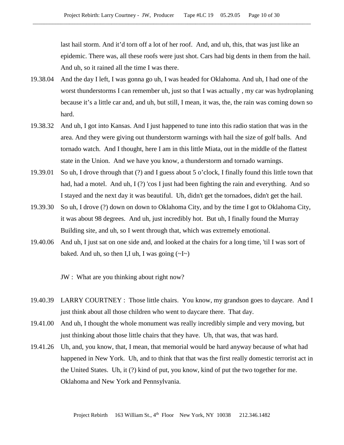last hail storm. And it'd torn off a lot of her roof. And, and uh, this, that was just like an epidemic. There was, all these roofs were just shot. Cars had big dents in them from the hail. And uh, so it rained all the time I was there.

- 19.38.04 And the day I left, I was gonna go uh, I was headed for Oklahoma. And uh, I had one of the worst thunderstorms I can remember uh, just so that I was actually , my car was hydroplaning because it's a little car and, and uh, but still, I mean, it was, the, the rain was coming down so hard.
- 19.38.32 And uh, I got into Kansas. And I just happened to tune into this radio station that was in the area. And they were giving out thunderstorm warnings with hail the size of golf balls. And tornado watch. And I thought, here I am in this little Miata, out in the middle of the flattest state in the Union. And we have you know, a thunderstorm and tornado warnings.
- 19.39.01 So uh, I drove through that (?) and I guess about 5 o'clock, I finally found this little town that had, had a motel. And uh, I(?) 'cos I just had been fighting the rain and everything. And so I stayed and the next day it was beautiful. Uh, didn't get the tornadoes, didn't get the hail.
- 19.39.30 So uh, I drove (?) down on down to Oklahoma City, and by the time I got to Oklahoma City, it was about 98 degrees. And uh, just incredibly hot. But uh, I finally found the Murray Building site, and uh, so I went through that, which was extremely emotional.
- 19.40.06 And uh, I just sat on one side and, and looked at the chairs for a long time, 'til I was sort of baked. And uh, so then I,I uh, I was going  $(\sim I \sim)$

JW : What are you thinking about right now?

- 19.40.39 LARRY COURTNEY : Those little chairs. You know, my grandson goes to daycare. And I just think about all those children who went to daycare there. That day.
- 19.41.00 And uh, I thought the whole monument was really incredibly simple and very moving, but just thinking about those little chairs that they have. Uh, that was, that was hard.
- 19.41.26 Uh, and, you know, that, I mean, that memorial would be hard anyway because of what had happened in New York. Uh, and to think that that was the first really domestic terrorist act in the United States. Uh, it (?) kind of put, you know, kind of put the two together for me. Oklahoma and New York and Pennsylvania.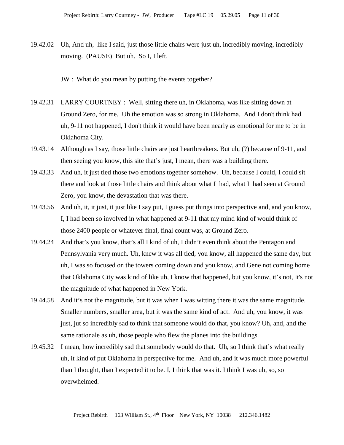19.42.02 Uh, And uh, like I said, just those little chairs were just uh, incredibly moving, incredibly moving. (PAUSE) But uh. So I, I left.

JW : What do you mean by putting the events together?

- 19.42.31 LARRY COURTNEY : Well, sitting there uh, in Oklahoma, was like sitting down at Ground Zero, for me. Uh the emotion was so strong in Oklahoma. And I don't think had uh, 9-11 not happened, I don't think it would have been nearly as emotional for me to be in Oklahoma City.
- 19.43.14 Although as I say, those little chairs are just heartbreakers. But uh, (?) because of 9-11, and then seeing you know, this site that's just, I mean, there was a building there.
- 19.43.33 And uh, it just tied those two emotions together somehow. Uh, because I could, I could sit there and look at those little chairs and think about what I had, what I had seen at Ground Zero, you know, the devastation that was there.
- 19.43.56 And uh, it, it just, it just like I say put, I guess put things into perspective and, and you know, I, I had been so involved in what happened at 9-11 that my mind kind of would think of those 2400 people or whatever final, final count was, at Ground Zero.
- 19.44.24 And that's you know, that's all I kind of uh, I didn't even think about the Pentagon and Pennsylvania very much. Uh, knew it was all tied, you know, all happened the same day, but uh, I was so focused on the towers coming down and you know, and Gene not coming home that Oklahoma City was kind of like uh, I know that happened, but you know, it's not, It's not the magnitude of what happened in New York.
- 19.44.58 And it's not the magnitude, but it was when I was witting there it was the same magnitude. Smaller numbers, smaller area, but it was the same kind of act. And uh, you know, it was just, jut so incredibly sad to think that someone would do that, you know? Uh, and, and the same rationale as uh, those people who flew the planes into the buildings.
- 19.45.32 I mean, how incredibly sad that somebody would do that. Uh, so I think that's what really uh, it kind of put Oklahoma in perspective for me. And uh, and it was much more powerful than I thought, than I expected it to be. I, I think that was it. I think I was uh, so, so overwhelmed.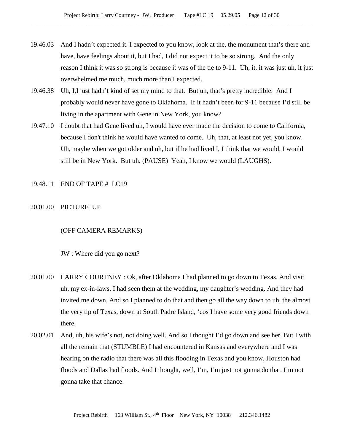- 19.46.03 And I hadn't expected it. I expected to you know, look at the, the monument that's there and have, have feelings about it, but I had, I did not expect it to be so strong. And the only reason I think it was so strong is because it was of the tie to 9-11. Uh, it, it was just uh, it just overwhelmed me much, much more than I expected.
- 19.46.38 Uh, I,I just hadn't kind of set my mind to that. But uh, that's pretty incredible. And I probably would never have gone to Oklahoma. If it hadn't been for 9-11 because I'd still be living in the apartment with Gene in New York, you know?
- 19.47.10 I doubt that had Gene lived uh, I would have ever made the decision to come to California, because I don't think he would have wanted to come. Uh, that, at least not yet, you know. Uh, maybe when we got older and uh, but if he had lived I, I think that we would, I would still be in New York. But uh. (PAUSE) Yeah, I know we would (LAUGHS).

## 19.48.11 END OF TAPE # LC19

## 20.01.00 PICTURE UP

#### (OFF CAMERA REMARKS)

JW : Where did you go next?

- 20.01.00 LARRY COURTNEY : Ok, after Oklahoma I had planned to go down to Texas. And visit uh, my ex-in-laws. I had seen them at the wedding, my daughter's wedding. And they had invited me down. And so I planned to do that and then go all the way down to uh, the almost the very tip of Texas, down at South Padre Island, 'cos I have some very good friends down there.
- 20.02.01 And, uh, his wife's not, not doing well. And so I thought I'd go down and see her. But I with all the remain that (STUMBLE) I had encountered in Kansas and everywhere and I was hearing on the radio that there was all this flooding in Texas and you know, Houston had floods and Dallas had floods. And I thought, well, I'm, I'm just not gonna do that. I'm not gonna take that chance.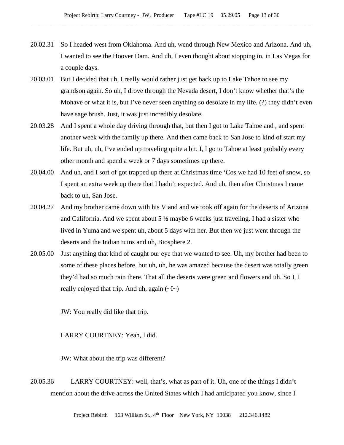- 20.02.31 So I headed west from Oklahoma. And uh, wend through New Mexico and Arizona. And uh, I wanted to see the Hoover Dam. And uh, I even thought about stopping in, in Las Vegas for a couple days.
- 20.03.01 But I decided that uh, I really would rather just get back up to Lake Tahoe to see my grandson again. So uh, I drove through the Nevada desert, I don't know whether that's the Mohave or what it is, but I've never seen anything so desolate in my life. (?) they didn't even have sage brush. Just, it was just incredibly desolate.
- 20.03.28 And I spent a whole day driving through that, but then I got to Lake Tahoe and , and spent another week with the family up there. And then came back to San Jose to kind of start my life. But uh, uh, I've ended up traveling quite a bit. I, I go to Tahoe at least probably every other month and spend a week or 7 days sometimes up there.
- 20.04.00 And uh, and I sort of got trapped up there at Christmas time 'Cos we had 10 feet of snow, so I spent an extra week up there that I hadn't expected. And uh, then after Christmas I came back to uh, San Jose.
- 20.04.27 And my brother came down with his Viand and we took off again for the deserts of Arizona and California. And we spent about  $5\frac{1}{2}$  maybe 6 weeks just traveling. I had a sister who lived in Yuma and we spent uh, about 5 days with her. But then we just went through the deserts and the Indian ruins and uh, Biosphere 2.
- 20.05.00 Just anything that kind of caught our eye that we wanted to see. Uh, my brother had been to some of these places before, but uh, uh, he was amazed because the desert was totally green they'd had so much rain there. That all the deserts were green and flowers and uh. So I, I really enjoyed that trip. And uh, again  $(\sim I \sim)$

JW: You really did like that trip.

LARRY COURTNEY: Yeah, I did.

JW: What about the trip was different?

20.05.36 LARRY COURTNEY: well, that's, what as part of it. Uh, one of the things I didn't mention about the drive across the United States which I had anticipated you know, since I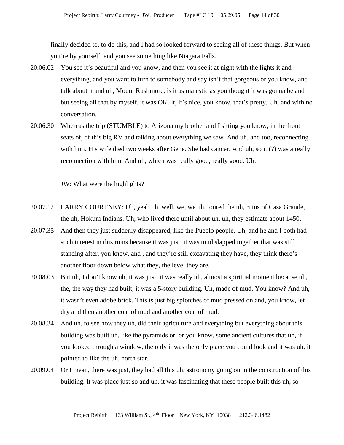finally decided to, to do this, and I had so looked forward to seeing all of these things. But when you're by yourself, and you see something like Niagara Falls.

- 20.06.02 You see it's beautiful and you know, and then you see it at night with the lights it and everything, and you want to turn to somebody and say isn't that gorgeous or you know, and talk about it and uh, Mount Rushmore, is it as majestic as you thought it was gonna be and but seeing all that by myself, it was OK. It, it's nice, you know, that's pretty. Uh, and with no conversation.
- 20.06.30 Whereas the trip (STUMBLE) to Arizona my brother and I sitting you know, in the front seats of, of this big RV and talking about everything we saw. And uh, and too, reconnecting with him. His wife died two weeks after Gene. She had cancer. And uh, so it (?) was a really reconnection with him. And uh, which was really good, really good. Uh.

JW: What were the highlights?

- 20.07.12 LARRY COURTNEY: Uh, yeah uh, well, we, we uh, toured the uh, ruins of Casa Grande, the uh, Hokum Indians. Uh, who lived there until about uh, uh, they estimate about 1450.
- 20.07.35 And then they just suddenly disappeared, like the Pueblo people. Uh, and he and I both had such interest in this ruins because it was just, it was mud slapped together that was still standing after, you know, and , and they're still excavating they have, they think there's another floor down below what they, the level they are.
- 20.08.03 But uh, I don't know uh, it was just, it was really uh, almost a spiritual moment because uh, the, the way they had built, it was a 5-story building. Uh, made of mud. You know? And uh, it wasn't even adobe brick. This is just big splotches of mud pressed on and, you know, let dry and then another coat of mud and another coat of mud.
- 20.08.34 And uh, to see how they uh, did their agriculture and everything but everything about this building was built uh, like the pyramids or, or you know, some ancient cultures that uh, if you looked through a window, the only it was the only place you could look and it was uh, it pointed to like the uh, north star.
- 20.09.04 Or I mean, there was just, they had all this uh, astronomy going on in the construction of this building. It was place just so and uh, it was fascinating that these people built this uh, so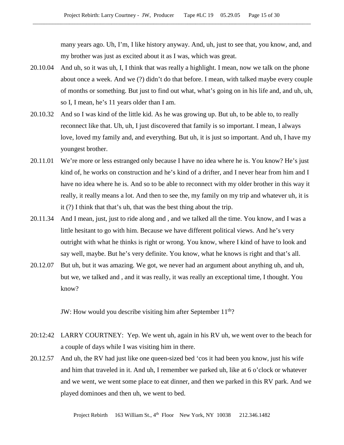many years ago. Uh, I'm, I like history anyway. And, uh, just to see that, you know, and, and my brother was just as excited about it as I was, which was great.

- 20.10.04 And uh, so it was uh, I, I think that was really a highlight. I mean, now we talk on the phone about once a week. And we (?) didn't do that before. I mean, with talked maybe every couple of months or something. But just to find out what, what's going on in his life and, and uh, uh, so I, I mean, he's 11 years older than I am.
- 20.10.32 And so I was kind of the little kid. As he was growing up. But uh, to be able to, to really reconnect like that. Uh, uh, I just discovered that family is so important. I mean, I always love, loved my family and, and everything. But uh, it is just so important. And uh, I have my youngest brother.
- 20.11.01 We're more or less estranged only because I have no idea where he is. You know? He's just kind of, he works on construction and he's kind of a drifter, and I never hear from him and I have no idea where he is. And so to be able to reconnect with my older brother in this way it really, it really means a lot. And then to see the, my family on my trip and whatever uh, it is it (?) I think that that's uh, that was the best thing about the trip.
- 20.11.34 And I mean, just, just to ride along and , and we talked all the time. You know, and I was a little hesitant to go with him. Because we have different political views. And he's very outright with what he thinks is right or wrong. You know, where I kind of have to look and say well, maybe. But he's very definite. You know, what he knows is right and that's all.
- 20.12.07 But uh, but it was amazing. We got, we never had an argument about anything uh, and uh, but we, we talked and , and it was really, it was really an exceptional time, I thought. You know?

JW: How would you describe visiting him after September  $11<sup>th</sup>$ ?

- 20:12:42 LARRY COURTNEY: Yep. We went uh, again in his RV uh, we went over to the beach for a couple of days while I was visiting him in there.
- 20.12.57 And uh, the RV had just like one queen-sized bed 'cos it had been you know, just his wife and him that traveled in it. And uh, I remember we parked uh, like at 6 o'clock or whatever and we went, we went some place to eat dinner, and then we parked in this RV park. And we played dominoes and then uh, we went to bed.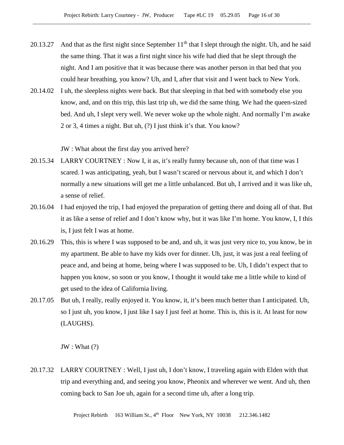- 20.13.27 And that as the first night since September  $11<sup>th</sup>$  that I slept through the night. Uh, and he said the same thing. That it was a first night since his wife had died that he slept through the night. And I am positive that it was because there was another person in that bed that you could hear breathing, you know? Uh, and I, after that visit and I went back to New York.
- 20.14.02 I uh, the sleepless nights were back. But that sleeping in that bed with somebody else you know, and, and on this trip, this last trip uh, we did the same thing. We had the queen-sized bed. And uh, I slept very well. We never woke up the whole night. And normally I'm awake 2 or 3, 4 times a night. But uh, (?) I just think it's that. You know?

JW : What about the first day you arrived here?

- 20.15.34 LARRY COURTNEY : Now I, it as, it's really funny because uh, non of that time was I scared. I was anticipating, yeah, but I wasn't scared or nervous about it, and which I don't normally a new situations will get me a little unbalanced. But uh, I arrived and it was like uh, a sense of relief.
- 20.16.04 I had enjoyed the trip, I had enjoyed the preparation of getting there and doing all of that. But it as like a sense of relief and I don't know why, but it was like I'm home. You know, I, I this is, I just felt I was at home.
- 20.16.29 This, this is where I was supposed to be and, and uh, it was just very nice to, you know, be in my apartment. Be able to have my kids over for dinner. Uh, just, it was just a real feeling of peace and, and being at home, being where I was supposed to be. Uh, I didn't expect that to happen you know, so soon or you know, I thought it would take me a little while to kind of get used to the idea of California living.
- 20.17.05 But uh, I really, really enjoyed it. You know, it, it's been much better than I anticipated. Uh, so I just uh, you know, I just like I say I just feel at home. This is, this is it. At least for now (LAUGHS).

JW : What (?)

20.17.32 LARRY COURTNEY : Well, I just uh, I don't know, I traveling again with Elden with that trip and everything and, and seeing you know, Pheonix and wherever we went. And uh, then coming back to San Joe uh, again for a second time uh, after a long trip.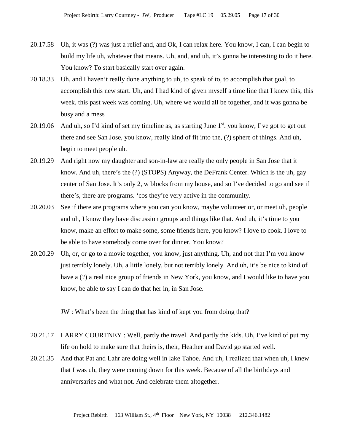- 20.17.58 Uh, it was (?) was just a relief and, and Ok, I can relax here. You know, I can, I can begin to build my life uh, whatever that means. Uh, and, and uh, it's gonna be interesting to do it here. You know? To start basically start over again.
- 20.18.33 Uh, and I haven't really done anything to uh, to speak of to, to accomplish that goal, to accomplish this new start. Uh, and I had kind of given myself a time line that I knew this, this week, this past week was coming. Uh, where we would all be together, and it was gonna be busy and a mess
- 20.19.06 And uh, so I'd kind of set my timeline as, as starting June  $1<sup>st</sup>$ . you know, I've got to get out there and see San Jose, you know, really kind of fit into the, (?) sphere of things. And uh, begin to meet people uh.
- 20.19.29 And right now my daughter and son-in-law are really the only people in San Jose that it know. And uh, there's the (?) (STOPS) Anyway, the DeFrank Center. Which is the uh, gay center of San Jose. It's only 2, w blocks from my house, and so I've decided to go and see if there's, there are programs. 'cos they're very active in the community.
- 20.20.03 See if there are programs where you can you know, maybe volunteer or, or meet uh, people and uh, I know they have discussion groups and things like that. And uh, it's time to you know, make an effort to make some, some friends here, you know? I love to cook. I love to be able to have somebody come over for dinner. You know?
- 20.20.29 Uh, or, or go to a movie together, you know, just anything. Uh, and not that I'm you know just terribly lonely. Uh, a little lonely, but not terribly lonely. And uh, it's be nice to kind of have a (?) a real nice group of friends in New York, you know, and I would like to have you know, be able to say I can do that her in, in San Jose.

JW : What's been the thing that has kind of kept you from doing that?

- 20.21.17 LARRY COURTNEY : Well, partly the travel. And partly the kids. Uh, I've kind of put my life on hold to make sure that theirs is, their, Heather and David go started well.
- 20.21.35 And that Pat and Lahr are doing well in lake Tahoe. And uh, I realized that when uh, I knew that I was uh, they were coming down for this week. Because of all the birthdays and anniversaries and what not. And celebrate them altogether.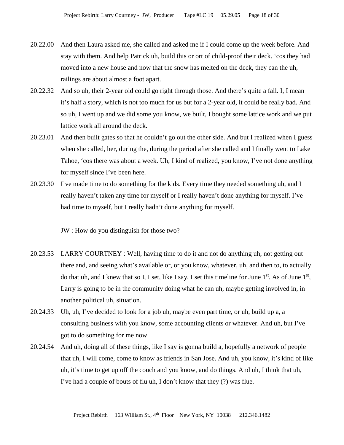- 20.22.00 And then Laura asked me, she called and asked me if I could come up the week before. And stay with them. And help Patrick uh, build this or ort of child-proof their deck. 'cos they had moved into a new house and now that the snow has melted on the deck, they can the uh, railings are about almost a foot apart.
- 20.22.32 And so uh, their 2-year old could go right through those. And there's quite a fall. I, I mean it's half a story, which is not too much for us but for a 2-year old, it could be really bad. And so uh, I went up and we did some you know, we built, I bought some lattice work and we put lattice work all around the deck.
- 20.23.01 And then built gates so that he couldn't go out the other side. And but I realized when I guess when she called, her, during the, during the period after she called and I finally went to Lake Tahoe, 'cos there was about a week. Uh, I kind of realized, you know, I've not done anything for myself since I've been here.
- 20.23.30 I've made time to do something for the kids. Every time they needed something uh, and I really haven't taken any time for myself or I really haven't done anything for myself. I've had time to myself, but I really hadn't done anything for myself.

JW : How do you distinguish for those two?

- 20.23.53 LARRY COURTNEY : Well, having time to do it and not do anything uh, not getting out there and, and seeing what's available or, or you know, whatever, uh, and then to, to actually do that uh, and I knew that so I, I set, like I say, I set this timeline for June  $1<sup>st</sup>$ . As of June  $1<sup>st</sup>$ , Larry is going to be in the community doing what he can uh, maybe getting involved in, in another political uh, situation.
- 20.24.33 Uh, uh, I've decided to look for a job uh, maybe even part time, or uh, build up a, a consulting business with you know, some accounting clients or whatever. And uh, but I've got to do something for me now.
- 20.24.54 And uh, doing all of these things, like I say is gonna build a, hopefully a network of people that uh, I will come, come to know as friends in San Jose. And uh, you know, it's kind of like uh, it's time to get up off the couch and you know, and do things. And uh, I think that uh, I've had a couple of bouts of flu uh, I don't know that they (?) was flue.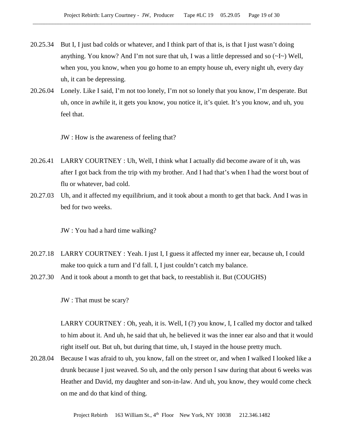- 20.25.34 But I, I just bad colds or whatever, and I think part of that is, is that I just wasn't doing anything. You know? And I'm not sure that uh, I was a little depressed and so  $\left(\sim I \sim\right)$  Well, when you, you know, when you go home to an empty house uh, every night uh, every day uh, it can be depressing.
- 20.26.04 Lonely. Like I said, I'm not too lonely, I'm not so lonely that you know, I'm desperate. But uh, once in awhile it, it gets you know, you notice it, it's quiet. It's you know, and uh, you feel that.

JW : How is the awareness of feeling that?

- 20.26.41 LARRY COURTNEY : Uh, Well, I think what I actually did become aware of it uh, was after I got back from the trip with my brother. And I had that's when I had the worst bout of flu or whatever, bad cold.
- 20.27.03 Uh, and it affected my equilibrium, and it took about a month to get that back. And I was in bed for two weeks.

JW : You had a hard time walking?

- 20.27.18 LARRY COURTNEY : Yeah. I just I, I guess it affected my inner ear, because uh, I could make too quick a turn and I'd fall. I, I just couldn't catch my balance.
- 20.27.30 And it took about a month to get that back, to reestablish it. But (COUGHS)

JW : That must be scary?

LARRY COURTNEY : Oh, yeah, it is. Well, I (?) you know, I, I called my doctor and talked to him about it. And uh, he said that uh, he believed it was the inner ear also and that it would right itself out. But uh, but during that time, uh, I stayed in the house pretty much.

20.28.04 Because I was afraid to uh, you know, fall on the street or, and when I walked I looked like a drunk because I just weaved. So uh, and the only person I saw during that about 6 weeks was Heather and David, my daughter and son-in-law. And uh, you know, they would come check on me and do that kind of thing.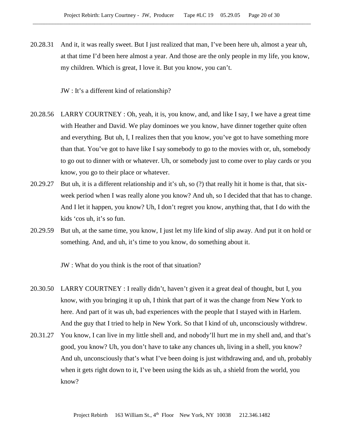20.28.31 And it, it was really sweet. But I just realized that man, I've been here uh, almost a year uh, at that time I'd been here almost a year. And those are the only people in my life, you know, my children. Which is great, I love it. But you know, you can't.

JW : It's a different kind of relationship?

- 20.28.56 LARRY COURTNEY : Oh, yeah, it is, you know, and, and like I say, I we have a great time with Heather and David. We play dominoes we you know, have dinner together quite often and everything. But uh, I, I realizes then that you know, you've got to have something more than that. You've got to have like I say somebody to go to the movies with or, uh, somebody to go out to dinner with or whatever. Uh, or somebody just to come over to play cards or you know, you go to their place or whatever.
- 20.29.27 But uh, it is a different relationship and it's uh, so (?) that really hit it home is that, that sixweek period when I was really alone you know? And uh, so I decided that that has to change. And I let it happen, you know? Uh, I don't regret you know, anything that, that I do with the kids 'cos uh, it's so fun.
- 20.29.59 But uh, at the same time, you know, I just let my life kind of slip away. And put it on hold or something. And, and uh, it's time to you know, do something about it.

JW : What do you think is the root of that situation?

- 20.30.50 LARRY COURTNEY : I really didn't, haven't given it a great deal of thought, but I, you know, with you bringing it up uh, I think that part of it was the change from New York to here. And part of it was uh, bad experiences with the people that I stayed with in Harlem. And the guy that I tried to help in New York. So that I kind of uh, unconsciously withdrew.
- 20.31.27 You know, I can live in my little shell and, and nobody'll hurt me in my shell and, and that's good, you know? Uh, you don't have to take any chances uh, living in a shell, you know? And uh, unconsciously that's what I've been doing is just withdrawing and, and uh, probably when it gets right down to it, I've been using the kids as uh, a shield from the world, you know?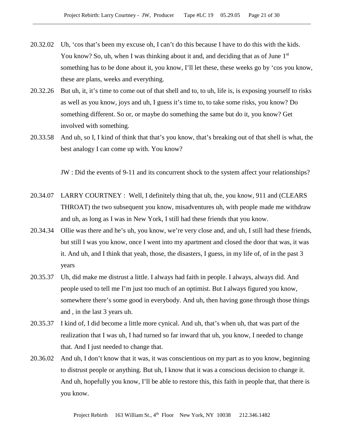- 20.32.02 Uh, 'cos that's been my excuse oh, I can't do this because I have to do this with the kids. You know? So, uh, when I was thinking about it and, and deciding that as of June  $1<sup>st</sup>$ something has to be done about it, you know, I'll let these, these weeks go by 'cos you know, these are plans, weeks and everything.
- 20.32.26 But uh, it, it's time to come out of that shell and to, to uh, life is, is exposing yourself to risks as well as you know, joys and uh, I guess it's time to, to take some risks, you know? Do something different. So or, or maybe do something the same but do it, you know? Get involved with something.
- 20.33.58 And uh, so I, I kind of think that that's you know, that's breaking out of that shell is what, the best analogy I can come up with. You know?

JW : Did the events of 9-11 and its concurrent shock to the system affect your relationships?

- 20.34.07 LARRY COURTNEY : Well, I definitely thing that uh, the, you know, 911 and (CLEARS THROAT) the two subsequent you know, misadventures uh, with people made me withdraw and uh, as long as I was in New York, I still had these friends that you know.
- 20.34.34 Ollie was there and he's uh, you know, we're very close and, and uh, I still had these friends, but still I was you know, once I went into my apartment and closed the door that was, it was it. And uh, and I think that yeah, those, the disasters, I guess, in my life of, of in the past 3 years
- 20.35.37 Uh, did make me distrust a little. I always had faith in people. I always, always did. And people used to tell me I'm just too much of an optimist. But I always figured you know, somewhere there's some good in everybody. And uh, then having gone through those things and , in the last 3 years uh.
- 20.35.37 I kind of, I did become a little more cynical. And uh, that's when uh, that was part of the realization that I was uh, I had turned so far inward that uh, you know, I needed to change that. And I just needed to change that.
- 20.36.02 And uh, I don't know that it was, it was conscientious on my part as to you know, beginning to distrust people or anything. But uh, I know that it was a conscious decision to change it. And uh, hopefully you know, I'll be able to restore this, this faith in people that, that there is you know.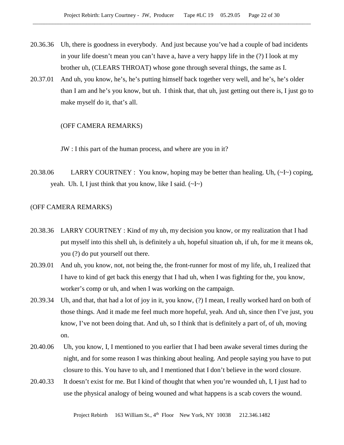- 20.36.36 Uh, there is goodness in everybody. And just because you've had a couple of bad incidents in your life doesn't mean you can't have a, have a very happy life in the (?) I look at my brother uh, (CLEARS THROAT) whose gone through several things, the same as I.
- 20.37.01 And uh, you know, he's, he's putting himself back together very well, and he's, he's older than I am and he's you know, but uh. I think that, that uh, just getting out there is, I just go to make myself do it, that's all.

#### (OFF CAMERA REMARKS)

JW : I this part of the human process, and where are you in it?

20.38.06 LARRY COURTNEY : You know, hoping may be better than healing. Uh,  $(\sim I \sim)$  coping, yeah. Uh. I, I just think that you know, like I said.  $(\sim] \sim$ )

# (OFF CAMERA REMARKS)

- 20.38.36 LARRY COURTNEY : Kind of my uh, my decision you know, or my realization that I had put myself into this shell uh, is definitely a uh, hopeful situation uh, if uh, for me it means ok, you (?) do put yourself out there.
- 20.39.01 And uh, you know, not, not being the, the front-runner for most of my life, uh, I realized that I have to kind of get back this energy that I had uh, when I was fighting for the, you know, worker's comp or uh, and when I was working on the campaign.
- 20.39.34 Uh, and that, that had a lot of joy in it, you know, (?) I mean, I really worked hard on both of those things. And it made me feel much more hopeful, yeah. And uh, since then I've just, you know, I've not been doing that. And uh, so I think that is definitely a part of, of uh, moving on.
- 20.40.06 Uh, you know, I, I mentioned to you earlier that I had been awake several times during the night, and for some reason I was thinking about healing. And people saying you have to put closure to this. You have to uh, and I mentioned that I don't believe in the word closure.
- 20.40.33 It doesn't exist for me. But I kind of thought that when you're wounded uh, I, I just had to use the physical analogy of being wouned and what happens is a scab covers the wound.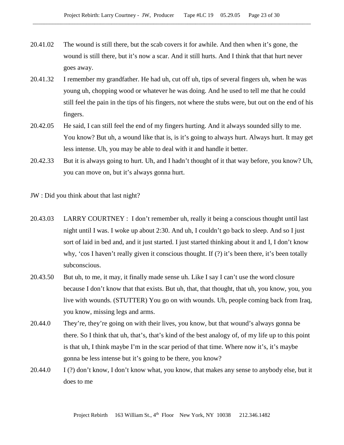- 20.41.02 The wound is still there, but the scab covers it for awhile. And then when it's gone, the wound is still there, but it's now a scar. And it still hurts. And I think that that hurt never goes away.
- 20.41.32 I remember my grandfather. He had uh, cut off uh, tips of several fingers uh, when he was young uh, chopping wood or whatever he was doing. And he used to tell me that he could still feel the pain in the tips of his fingers, not where the stubs were, but out on the end of his fingers.
- 20.42.05 He said, I can still feel the end of my fingers hurting. And it always sounded silly to me. You know? But uh, a wound like that is, is it's going to always hurt. Always hurt. It may get less intense. Uh, you may be able to deal with it and handle it better.
- 20.42.33 But it is always going to hurt. Uh, and I hadn't thought of it that way before, you know? Uh, you can move on, but it's always gonna hurt.

JW : Did you think about that last night?

- 20.43.03 LARRY COURTNEY : I don't remember uh, really it being a conscious thought until last night until I was. I woke up about 2:30. And uh, I couldn't go back to sleep. And so I just sort of laid in bed and, and it just started. I just started thinking about it and I, I don't know why, 'cos I haven't really given it conscious thought. If (?) it's been there, it's been totally subconscious.
- 20.43.50 But uh, to me, it may, it finally made sense uh. Like I say I can't use the word closure because I don't know that that exists. But uh, that, that thought, that uh, you know, you, you live with wounds. (STUTTER) You go on with wounds. Uh, people coming back from Iraq, you know, missing legs and arms.
- 20.44.0 They're, they're going on with their lives, you know, but that wound's always gonna be there. So I think that uh, that's, that's kind of the best analogy of, of my life up to this point is that uh, I think maybe I'm in the scar period of that time. Where now it's, it's maybe gonna be less intense but it's going to be there, you know?
- 20.44.0 I (?) don't know, I don't know what, you know, that makes any sense to anybody else, but it does to me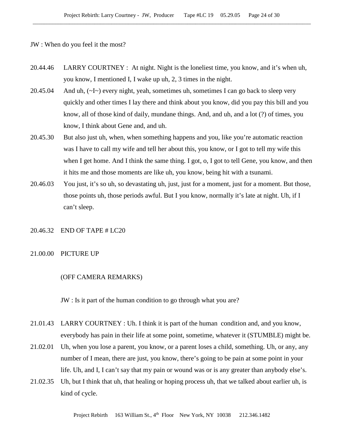JW : When do you feel it the most?

- 20.44.46 LARRY COURTNEY : At night. Night is the loneliest time, you know, and it's when uh, you know, I mentioned I, I wake up uh, 2, 3 times in the night.
- 20.45.04 And uh, (~I~) every night, yeah, sometimes uh, sometimes I can go back to sleep very quickly and other times I lay there and think about you know, did you pay this bill and you know, all of those kind of daily, mundane things. And, and uh, and a lot (?) of times, you know, I think about Gene and, and uh.
- 20.45.30 But also just uh, when, when something happens and you, like you're automatic reaction was I have to call my wife and tell her about this, you know, or I got to tell my wife this when I get home. And I think the same thing. I got, o, I got to tell Gene, you know, and then it hits me and those moments are like uh, you know, being hit with a tsunami.
- 20.46.03 You just, it's so uh, so devastating uh, just, just for a moment, just for a moment. But those, those points uh, those periods awful. But I you know, normally it's late at night. Uh, if I can't sleep.
- 20.46.32 END OF TAPE # LC20
- 21.00.00 PICTURE UP

#### (OFF CAMERA REMARKS)

JW : Is it part of the human condition to go through what you are?

- 21.01.43 LARRY COURTNEY : Uh. I think it is part of the human condition and, and you know, everybody has pain in their life at some point, sometime, whatever it (STUMBLE) might be.
- 21.02.01 Uh, when you lose a parent, you know, or a parent loses a child, something. Uh, or any, any number of I mean, there are just, you know, there's going to be pain at some point in your life. Uh, and I, I can't say that my pain or wound was or is any greater than anybody else's.
- 21.02.35 Uh, but I think that uh, that healing or hoping process uh, that we talked about earlier uh, is kind of cycle.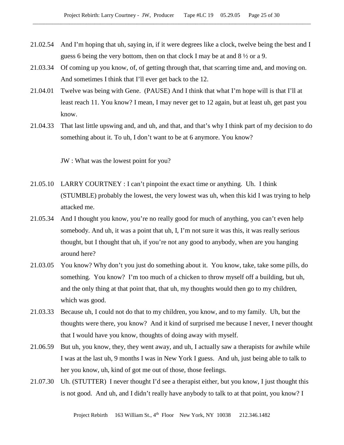- 21.02.54 And I'm hoping that uh, saying in, if it were degrees like a clock, twelve being the best and I guess 6 being the very bottom, then on that clock I may be at and  $8\frac{1}{2}$  or a 9.
- 21.03.34 Of coming up you know, of, of getting through that, that scarring time and, and moving on. And sometimes I think that I'll ever get back to the 12.
- 21.04.01 Twelve was being with Gene. (PAUSE) And I think that what I'm hope will is that I'll at least reach 11. You know? I mean, I may never get to 12 again, but at least uh, get past you know.
- 21.04.33 That last little upswing and, and uh, and that, and that's why I think part of my decision to do something about it. To uh, I don't want to be at 6 anymore. You know?

JW : What was the lowest point for you?

- 21.05.10 LARRY COURTNEY : I can't pinpoint the exact time or anything. Uh. I think (STUMBLE) probably the lowest, the very lowest was uh, when this kid I was trying to help attacked me.
- 21.05.34 And I thought you know, you're no really good for much of anything, you can't even help somebody. And uh, it was a point that uh, I, I'm not sure it was this, it was really serious thought, but I thought that uh, if you're not any good to anybody, when are you hanging around here?
- 21.03.05 You know? Why don't you just do something about it. You know, take, take some pills, do something. You know? I'm too much of a chicken to throw myself off a building, but uh, and the only thing at that point that, that uh, my thoughts would then go to my children, which was good.
- 21.03.33 Because uh, I could not do that to my children, you know, and to my family. Uh, but the thoughts were there, you know? And it kind of surprised me because I never, I never thought that I would have you know, thoughts of doing away with myself.
- 21.06.59 But uh, you know, they, they went away, and uh, I actually saw a therapists for awhile while I was at the last uh, 9 months I was in New York I guess. And uh, just being able to talk to her you know, uh, kind of got me out of those, those feelings.
- 21.07.30 Uh. (STUTTER) I never thought I'd see a therapist either, but you know, I just thought this is not good. And uh, and I didn't really have anybody to talk to at that point, you know? I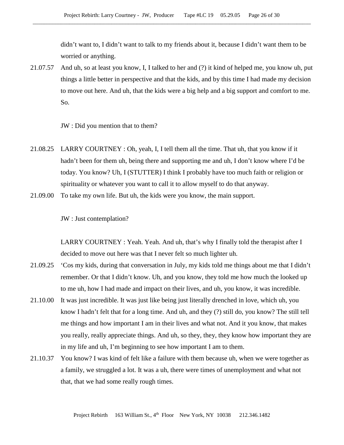didn't want to, I didn't want to talk to my friends about it, because I didn't want them to be worried or anything.

21.07.57 And uh, so at least you know, I, I talked to her and (?) it kind of helped me, you know uh, put things a little better in perspective and that the kids, and by this time I had made my decision to move out here. And uh, that the kids were a big help and a big support and comfort to me. So.

JW : Did you mention that to them?

- 21.08.25 LARRY COURTNEY : Oh, yeah, I, I tell them all the time. That uh, that you know if it hadn't been for them uh, being there and supporting me and uh, I don't know where I'd be today. You know? Uh, I (STUTTER) I think I probably have too much faith or religion or spirituality or whatever you want to call it to allow myself to do that anyway.
- 21.09.00 To take my own life. But uh, the kids were you know, the main support.

JW : Just contemplation?

LARRY COURTNEY : Yeah. Yeah. And uh, that's why I finally told the therapist after I decided to move out here was that I never felt so much lighter uh.

- 21.09.25 'Cos my kids, during that conversation in July, my kids told me things about me that I didn't remember. Or that I didn't know. Uh, and you know, they told me how much the looked up to me uh, how I had made and impact on their lives, and uh, you know, it was incredible.
- 21.10.00 It was just incredible. It was just like being just literally drenched in love, which uh, you know I hadn't felt that for a long time. And uh, and they (?) still do, you know? The still tell me things and how important I am in their lives and what not. And it you know, that makes you really, really appreciate things. And uh, so they, they, they know how important they are in my life and uh, I'm beginning to see how important I am to them.
- 21.10.37 You know? I was kind of felt like a failure with them because uh, when we were together as a family, we struggled a lot. It was a uh, there were times of unemployment and what not that, that we had some really rough times.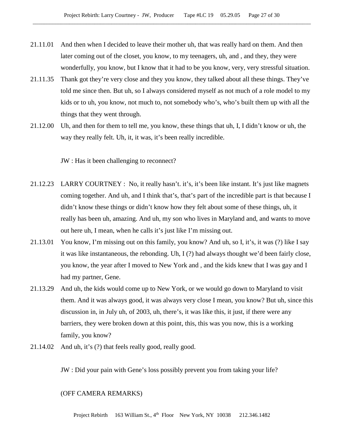- 21.11.01 And then when I decided to leave their mother uh, that was really hard on them. And then later coming out of the closet, you know, to my teenagers, uh, and , and they, they were wonderfully, you know, but I know that it had to be you know, very, very stressful situation.
- 21.11.35 Thank got they're very close and they you know, they talked about all these things. They've told me since then. But uh, so I always considered myself as not much of a role model to my kids or to uh, you know, not much to, not somebody who's, who's built them up with all the things that they went through.
- 21.12.00 Uh, and then for them to tell me, you know, these things that uh, I, I didn't know or uh, the way they really felt. Uh, it, it was, it's been really incredible.

JW : Has it been challenging to reconnect?

- 21.12.23 LARRY COURTNEY : No, it really hasn't. it's, it's been like instant. It's just like magnets coming together. And uh, and I think that's, that's part of the incredible part is that because I didn't know these things or didn't know how they felt about some of these things, uh, it really has been uh, amazing. And uh, my son who lives in Maryland and, and wants to move out here uh, I mean, when he calls it's just like I'm missing out.
- 21.13.01 You know, I'm missing out on this family, you know? And uh, so I, it's, it was (?) like I say it was like instantaneous, the rebonding. Uh, I (?) had always thought we'd been fairly close, you know, the year after I moved to New York and , and the kids knew that I was gay and I had my partner, Gene.
- 21.13.29 And uh, the kids would come up to New York, or we would go down to Maryland to visit them. And it was always good, it was always very close I mean, you know? But uh, since this discussion in, in July uh, of 2003, uh, there's, it was like this, it just, if there were any barriers, they were broken down at this point, this, this was you now, this is a working family, you know?
- 21.14.02 And uh, it's (?) that feels really good, really good.

JW : Did your pain with Gene's loss possibly prevent you from taking your life?

## (OFF CAMERA REMARKS)

Project Rebirth 163 William St., 4<sup>th</sup> Floor New York, NY 10038 212.346.1482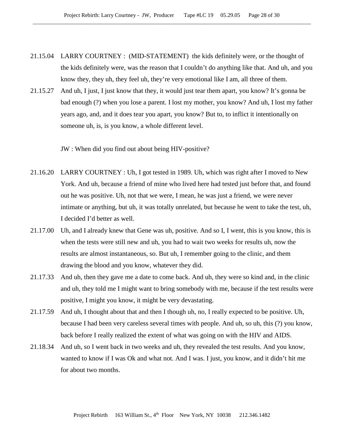- 21.15.04 LARRY COURTNEY : (MID-STATEMENT) the kids definitely were, or the thought of the kids definitely were, was the reason that I couldn't do anything like that. And uh, and you know they, they uh, they feel uh, they're very emotional like I am, all three of them.
- 21.15.27 And uh, I just, I just know that they, it would just tear them apart, you know? It's gonna be bad enough (?) when you lose a parent. I lost my mother, you know? And uh, I lost my father years ago, and, and it does tear you apart, you know? But to, to inflict it intentionally on someone uh, is, is you know, a whole different level.

JW : When did you find out about being HIV-positive?

- 21.16.20 LARRY COURTNEY : Uh, I got tested in 1989. Uh, which was right after I moved to New York. And uh, because a friend of mine who lived here had tested just before that, and found out he was positive. Uh, not that we were, I mean, he was just a friend, we were never intimate or anything, but uh, it was totally unrelated, but because he went to take the test, uh, I decided I'd better as well.
- 21.17.00 Uh, and I already knew that Gene was uh, positive. And so I, I went, this is you know, this is when the tests were still new and uh, you had to wait two weeks for results uh, now the results are almost instantaneous, so. But uh, I remember going to the clinic, and them drawing the blood and you know, whatever they did.
- 21.17.33 And uh, then they gave me a date to come back. And uh, they were so kind and, in the clinic and uh, they told me I might want to bring somebody with me, because if the test results were positive, I might you know, it might be very devastating.
- 21.17.59 And uh, I thought about that and then I though uh, no, I really expected to be positive. Uh, because I had been very careless several times with people. And uh, so uh, this (?) you know, back before I really realized the extent of what was going on with the HIV and AIDS.
- 21.18.34 And uh, so I went back in two weeks and uh, they revealed the test results. And you know, wanted to know if I was Ok and what not. And I was. I just, you know, and it didn't hit me for about two months.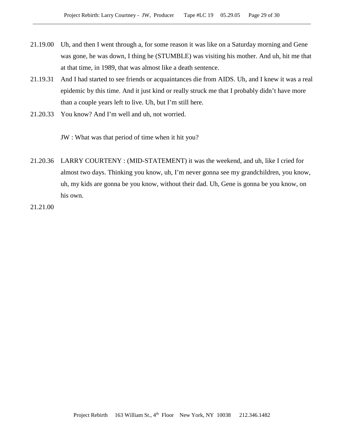- 21.19.00 Uh, and then I went through a, for some reason it was like on a Saturday morning and Gene was gone, he was down, I thing he (STUMBLE) was visiting his mother. And uh, hit me that at that time, in 1989, that was almost like a death sentence.
- 21.19.31 And I had started to see friends or acquaintances die from AIDS. Uh, and I knew it was a real epidemic by this time. And it just kind or really struck me that I probably didn't have more than a couple years left to live. Uh, but I'm still here.
- 21.20.33 You know? And I'm well and uh, not worried.

JW : What was that period of time when it hit you?

- 21.20.36 LARRY COURTENY : (MID-STATEMENT) it was the weekend, and uh, like I cried for almost two days. Thinking you know, uh, I'm never gonna see my grandchildren, you know, uh, my kids are gonna be you know, without their dad. Uh, Gene is gonna be you know, on his own.
- 21.21.00